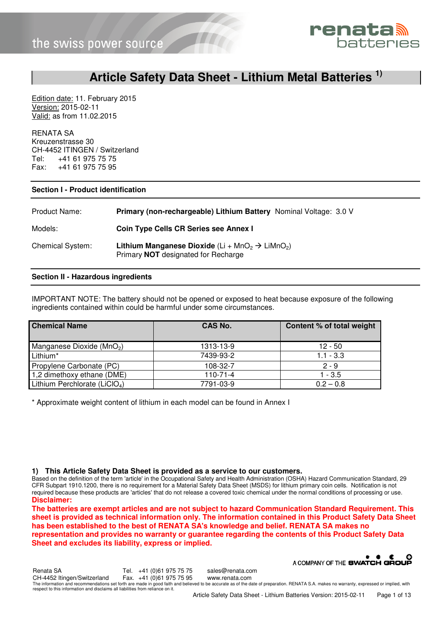

### **Article Safety Data Sheet - Lithium Metal Batteries 1)**

Edition date: 11. February 2015 Version: 2015-02-11 Valid: as from 11.02.2015

RENATA SA Kreuzenstrasse 30 CH-4452 ITINGEN / Switzerland Tel: +41 61 975 75 75 Fax: +41 61 975 75 95

#### **Section I - Product identification**

| Product Name:           | Primary (non-rechargeable) Lithium Battery Nominal Voltage: 3.0 V                                                                        |
|-------------------------|------------------------------------------------------------------------------------------------------------------------------------------|
| Models:                 | <b>Coin Type Cells CR Series see Annex I</b>                                                                                             |
| <b>Chemical System:</b> | <b>Lithium Manganese Dioxide</b> (Li + MnO <sub>2</sub> $\rightarrow$ LiMnO <sub>2</sub> )<br>Primary <b>NOT</b> designated for Recharge |

#### **Section II - Hazardous ingredients**

IMPORTANT NOTE: The battery should not be opened or exposed to heat because exposure of the following ingredients contained within could be harmful under some circumstances.

| <b>Chemical Name</b>                      | CAS No.        | Content % of total weight |
|-------------------------------------------|----------------|---------------------------|
| Manganese Dioxide (MnO <sub>2</sub> )     | 1313-13-9      | $12 - 50$                 |
| Lithium*                                  | 7439-93-2      | $1.1 - 3.3$               |
| Propylene Carbonate (PC)                  | 108-32-7       | $2 - 9$                   |
| 1,2 dimethoxy ethane (DME)                | $110 - 71 - 4$ | $1 - 3.5$                 |
| Lithium Perchlorate (LiCIO <sub>4</sub> ) | 7791-03-9      | $0.2 - 0.8$               |

\* Approximate weight content of lithium in each model can be found in Annex I

**1) This Article Safety Data Sheet is provided as a service to our customers.** 

Based on the definition of the term 'article' in the Occupational Safety and Health Administration (OSHA) Hazard Communication Standard, 29 CFR Subpart 1910.1200, there is no requirement for a Material Safety Data Sheet (MSDS) for lithium primary coin cells. Notification is not required because these products are 'articles' that do not release a covered toxic chemical under the normal conditions of processing or use. **Disclaimer:** 

**The batteries are exempt articles and are not subject to hazard Communication Standard Requirement. This sheet is provided as technical information only. The information contained in this Product Safety Data Sheet has been established to the best of RENATA SA's knowledge and belief. RENATA SA makes no representation and provides no warranty or guarantee regarding the contents of this Product Safety Data Sheet and excludes its liability, express or implied.** 

A COMPANY OF THE SWATCH GROUP Renata SA Tel. +41 (0)61 975 75 75 sales@renata.com CH-4452 Itingen/Switzerland The information and recommendations set forth are made in good faith and believed to be accurate as of the date of preparation. RENATA S.A. makes no warranty, expressed or implied, with respect to this information and disclaims all liabilities from reliance on it.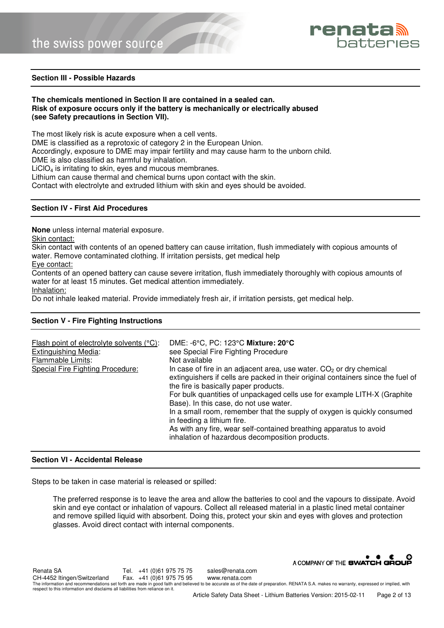

#### **Section III - Possible Hazards**

#### **The chemicals mentioned in Section II are contained in a sealed can. Risk of exposure occurs only if the battery is mechanically or electrically abused (see Safety precautions in Section VII).**

The most likely risk is acute exposure when a cell vents.

DME is classified as a reprotoxic of category 2 in the European Union.

Accordingly, exposure to DME may impair fertility and may cause harm to the unborn child.

DME is also classified as harmful by inhalation.

LiCIO<sub>4</sub> is irritating to skin, eyes and mucous membranes.

Lithium can cause thermal and chemical burns upon contact with the skin.

Contact with electrolyte and extruded lithium with skin and eyes should be avoided.

#### **Section IV - First Aid Procedures**

**None** unless internal material exposure.

Skin contact:

Skin contact with contents of an opened battery can cause irritation, flush immediately with copious amounts of water. Remove contaminated clothing. If irritation persists, get medical help

Eye contact:

Contents of an opened battery can cause severe irritation, flush immediately thoroughly with copious amounts of water for at least 15 minutes. Get medical attention immediately.

Inhalation:

Do not inhale leaked material. Provide immediately fresh air, if irritation persists, get medical help.

#### **Section V - Fire Fighting Instructions**

| Flash point of electrolyte solvents (°C):<br><b>Extinguishing Media:</b><br>Flammable Limits:<br>Special Fire Fighting Procedure: | DME: -6°C, PC: 123°C Mixture: 20°C<br>see Special Fire Fighting Procedure<br>Not available<br>In case of fire in an adjacent area, use water. $CO2$ or dry chemical<br>extinguishers if cells are packed in their original containers since the fuel of<br>the fire is basically paper products.<br>For bulk quantities of unpackaged cells use for example LITH-X (Graphite<br>Base). In this case, do not use water.<br>In a small room, remember that the supply of oxygen is quickly consumed<br>in feeding a lithium fire.<br>As with any fire, wear self-contained breathing apparatus to avoid |
|-----------------------------------------------------------------------------------------------------------------------------------|-------------------------------------------------------------------------------------------------------------------------------------------------------------------------------------------------------------------------------------------------------------------------------------------------------------------------------------------------------------------------------------------------------------------------------------------------------------------------------------------------------------------------------------------------------------------------------------------------------|
|                                                                                                                                   | inhalation of hazardous decomposition products.                                                                                                                                                                                                                                                                                                                                                                                                                                                                                                                                                       |

#### **Section VI - Accidental Release**

Steps to be taken in case material is released or spilled:

The preferred response is to leave the area and allow the batteries to cool and the vapours to dissipate. Avoid skin and eye contact or inhalation of vapours. Collect all released material in a plastic lined metal container and remove spilled liquid with absorbent. Doing this, protect your skin and eyes with gloves and protection glasses. Avoid direct contact with internal components.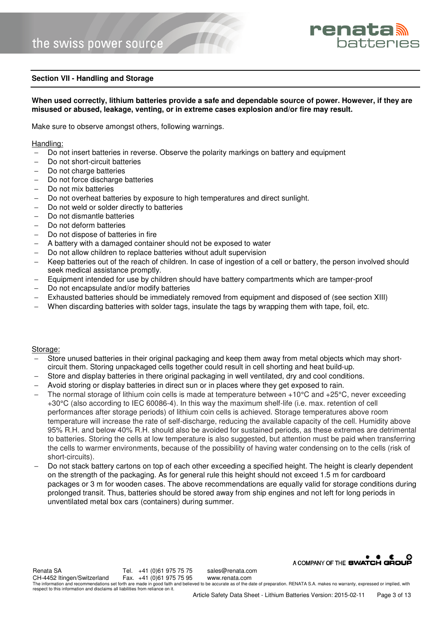

#### **Section VII - Handling and Storage**

#### **When used correctly, lithium batteries provide a safe and dependable source of power. However, if they are misused or abused, leakage, venting, or in extreme cases explosion and/or fire may result.**

Make sure to observe amongst others, following warnings.

#### Handling:

- Do not insert batteries in reverse. Observe the polarity markings on battery and equipment
- Do not short-circuit batteries
- Do not charge batteries
- Do not force discharge batteries
- Do not mix batteries
- Do not overheat batteries by exposure to high temperatures and direct sunlight.
- Do not weld or solder directly to batteries
- − Do not dismantle batteries
- − Do not deform batteries
- Do not dispose of batteries in fire
- A battery with a damaged container should not be exposed to water
- − Do not allow children to replace batteries without adult supervision
- − Keep batteries out of the reach of children. In case of ingestion of a cell or battery, the person involved should seek medical assistance promptly.
- Equipment intended for use by children should have battery compartments which are tamper-proof
- Do not encapsulate and/or modify batteries
- Exhausted batteries should be immediately removed from equipment and disposed of (see section XIII)
- When discarding batteries with solder tags, insulate the tags by wrapping them with tape, foil, etc.

#### Storage:

- Store unused batteries in their original packaging and keep them away from metal objects which may shortcircuit them. Storing unpackaged cells together could result in cell shorting and heat build-up.
- Store and display batteries in there original packaging in well ventilated, dry and cool conditions.
- − Avoid storing or display batteries in direct sun or in places where they get exposed to rain.
- The normal storage of lithium coin cells is made at temperature between +10°C and +25°C, never exceeding +30°C (also according to IEC 60086-4). In this way the maximum shelf-life (i.e. max. retention of cell performances after storage periods) of lithium coin cells is achieved. Storage temperatures above room temperature will increase the rate of self-discharge, reducing the available capacity of the cell. Humidity above 95% R.H. and below 40% R.H. should also be avoided for sustained periods, as these extremes are detrimental to batteries. Storing the cells at low temperature is also suggested, but attention must be paid when transferring the cells to warmer environments, because of the possibility of having water condensing on to the cells (risk of short-circuits).
- Do not stack battery cartons on top of each other exceeding a specified height. The height is clearly dependent on the strength of the packaging. As for general rule this height should not exceed 1.5 m for cardboard packages or 3 m for wooden cases. The above recommendations are equally valid for storage conditions during prolonged transit. Thus, batteries should be stored away from ship engines and not left for long periods in unventilated metal box cars (containers) during summer.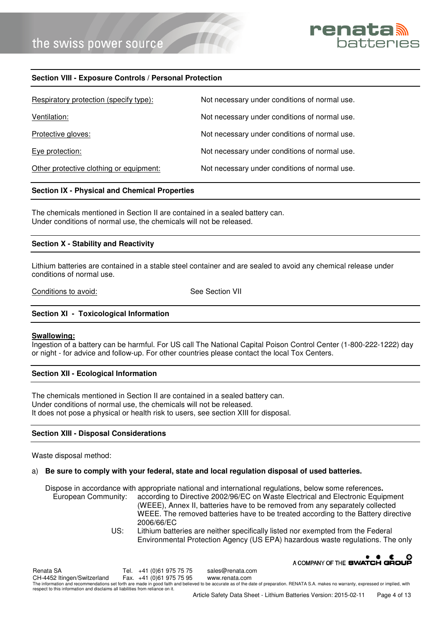

#### **Section VIII - Exposure Controls / Personal Protection**

| Respiratory protection (specify type):  | Not necessary under conditions of normal use. |
|-----------------------------------------|-----------------------------------------------|
| Ventilation:                            | Not necessary under conditions of normal use. |
| Protective gloves:                      | Not necessary under conditions of normal use. |
| Eye protection:                         | Not necessary under conditions of normal use. |
| Other protective clothing or equipment: | Not necessary under conditions of normal use. |

#### **Section IX - Physical and Chemical Properties**

The chemicals mentioned in Section II are contained in a sealed battery can. Under conditions of normal use, the chemicals will not be released.

#### **Section X - Stability and Reactivity**

Lithium batteries are contained in a stable steel container and are sealed to avoid any chemical release under conditions of normal use.

Conditions to avoid: See Section VII

#### **Section XI - Toxicological Information**

#### **Swallowing:**

Ingestion of a battery can be harmful. For US call The National Capital Poison Control Center (1-800-222-1222) day or night - for advice and follow-up. For other countries please contact the local Tox Centers.

#### **Section XII - Ecological Information**

The chemicals mentioned in Section II are contained in a sealed battery can. Under conditions of normal use, the chemicals will not be released. It does not pose a physical or health risk to users, see section XIII for disposal.

#### **Section XIII - Disposal Considerations**

Waste disposal method:

#### a) **Be sure to comply with your federal, state and local regulation disposal of used batteries.**

Dispose in accordance with appropriate national and international regulations, below some references**.** European Community: according to Directive 2002/96/EC on Waste Electrical and Electronic Equipment (WEEE), Annex II, batteries have to be removed from any separately collected WEEE. The removed batteries have to be treated according to the Battery directive 2006/66/EC<br>US: Lithium batte

Lithium batteries are neither specifically listed nor exempted from the Federal Environmental Protection Agency (US EPA) hazardous waste regulations. The only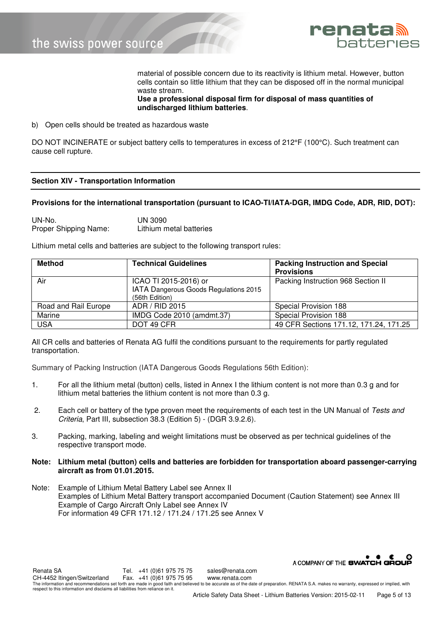

material of possible concern due to its reactivity is lithium metal. However, button cells contain so little lithium that they can be disposed off in the normal municipal waste stream.

**Use a professional disposal firm for disposal of mass quantities of undischarged lithium batteries**.

b) Open cells should be treated as hazardous waste

DO NOT INCINERATE or subject battery cells to temperatures in excess of 212°F (100°C). Such treatment can cause cell rupture.

#### **Section XIV - Transportation Information**

#### **Provisions for the international transportation (pursuant to ICAO-TI/IATA-DGR, IMDG Code, ADR, RID, DOT):**

| UN-No.                | UN 3090                 |
|-----------------------|-------------------------|
| Proper Shipping Name: | Lithium metal batteries |

Lithium metal cells and batteries are subject to the following transport rules:

| <b>Method</b>        | <b>Technical Guidelines</b>           | <b>Packing Instruction and Special</b> |  |
|----------------------|---------------------------------------|----------------------------------------|--|
|                      |                                       | <b>Provisions</b>                      |  |
| Air                  | ICAO TI 2015-2016) or                 | Packing Instruction 968 Section II     |  |
|                      | IATA Dangerous Goods Regulations 2015 |                                        |  |
|                      | (56th Edition)                        |                                        |  |
| Road and Rail Europe | ADR / RID 2015                        | Special Provision 188                  |  |
| Marine               | IMDG Code 2010 (amdmt.37)             | Special Provision 188                  |  |
| <b>USA</b>           | DOT 49 CFR                            | 49 CFR Sections 171.12, 171.24, 171.25 |  |

All CR cells and batteries of Renata AG fulfil the conditions pursuant to the requirements for partly regulated transportation.

Summary of Packing Instruction (IATA Dangerous Goods Regulations 56th Edition):

- 1. For all the lithium metal (button) cells, listed in Annex I the lithium content is not more than 0.3 g and for lithium metal batteries the lithium content is not more than 0.3 g.
- 2. Each cell or battery of the type proven meet the requirements of each test in the UN Manual of Tests and Criteria, Part III, subsection 38.3 (Edition 5) - (DGR 3.9.2.6).
- 3. Packing, marking, labeling and weight limitations must be observed as per technical guidelines of the respective transport mode.
- **Note: Lithium metal (button) cells and batteries are forbidden for transportation aboard passenger-carrying aircraft as from 01.01.2015.**
- Note: Example of Lithium Metal Battery Label see Annex II Examples of Lithium Metal Battery transport accompanied Document (Caution Statement) see Annex III Example of Cargo Aircraft Only Label see Annex IV For information 49 CFR 171.12 / 171.24 / 171.25 see Annex V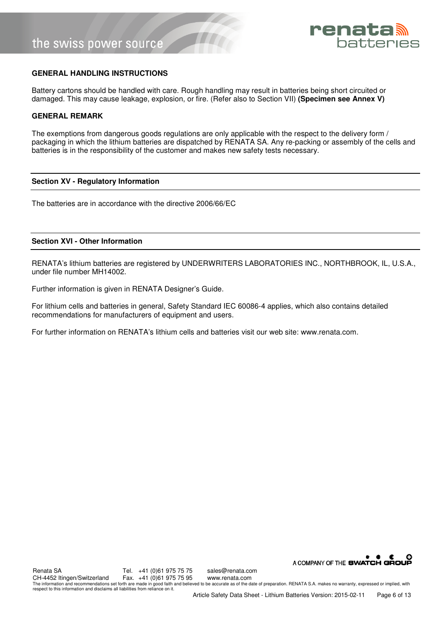

#### **GENERAL HANDLING INSTRUCTIONS**

Battery cartons should be handled with care. Rough handling may result in batteries being short circuited or damaged. This may cause leakage, explosion, or fire. (Refer also to Section VII) **(Specimen see Annex V)** 

#### **GENERAL REMARK**

The exemptions from dangerous goods regulations are only applicable with the respect to the delivery form / packaging in which the lithium batteries are dispatched by RENATA SA. Any re-packing or assembly of the cells and batteries is in the responsibility of the customer and makes new safety tests necessary.

#### **Section XV - Regulatory Information**

The batteries are in accordance with the directive 2006/66/EC

#### **Section XVI - Other Information**

RENATA's lithium batteries are registered by UNDERWRITERS LABORATORIES INC., NORTHBROOK, IL, U.S.A., under file number MH14002.

Further information is given in RENATA Designer's Guide.

For lithium cells and batteries in general, Safety Standard IEC 60086-4 applies, which also contains detailed recommendations for manufacturers of equipment and users.

For further information on RENATA's lithium cells and batteries visit our web site: www.renata.com.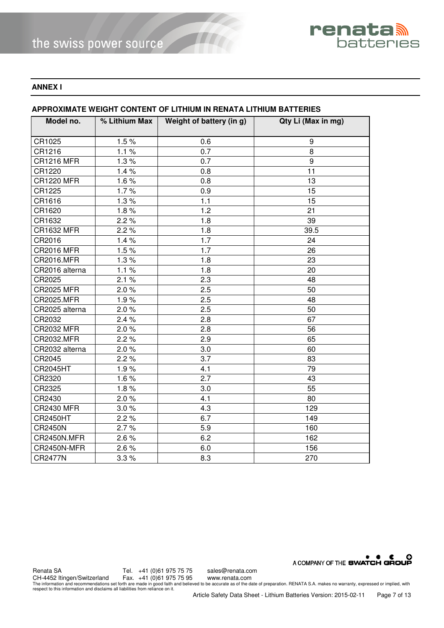

#### **ANNEX I**

| Model no.         | % Lithium Max $\parallel$ | Weight of battery (in g) | Qty Li (Max in mg) |  |  |
|-------------------|---------------------------|--------------------------|--------------------|--|--|
| CR1025            | 1.5%                      | 0.6                      | 9                  |  |  |
| CR1216            | 1.1%                      | 0.7                      | 8                  |  |  |
| <b>CR1216 MFR</b> | 1.3%                      | $\overline{0.7}$         | 9                  |  |  |
|                   |                           |                          |                    |  |  |
| CR1220            | 1.4%                      | 0.8                      | 11                 |  |  |
| <b>CR1220 MFR</b> | 1.6%                      | 0.8                      | 13                 |  |  |
| CR1225            | 1.7%                      | 0.9                      | 15                 |  |  |
| CR1616            | 1.3%                      | 1.1                      | 15                 |  |  |
| CR1620            | 1.8%                      | 1.2                      | 21                 |  |  |
| CR1632            | 2.2%                      | 1.8                      | 39                 |  |  |
| <b>CR1632 MFR</b> | 2.2%                      | 1.8                      | 39.5               |  |  |
| CR2016            | 1.4%                      | 1.7                      | 24                 |  |  |
| <b>CR2016 MFR</b> | 1.5%                      | 1.7                      | 26                 |  |  |
| CR2016.MFR        | 1.3%                      | 1.8                      | 23                 |  |  |
| CR2016 alterna    | 1.1%                      | 1.8                      | 20                 |  |  |
| CR2025            | 2.1%                      | 2.3                      | 48                 |  |  |
| <b>CR2025 MFR</b> | 2.0%                      | 2.5                      | 50                 |  |  |
| CR2025.MFR        | 1.9%                      | 2.5                      | 48                 |  |  |
| CR2025 alterna    | 2.0%                      | 2.5                      | 50                 |  |  |
| CR2032            | 2.4%                      | 2.8                      | 67                 |  |  |
| <b>CR2032 MFR</b> | 2.0%                      | 2.8                      | 56                 |  |  |
| CR2032.MFR        | 2.2%                      | 2.9                      | 65                 |  |  |
| CR2032 alterna    | 2.0%                      | 3.0                      | 60                 |  |  |
| CR2045            | 2.2%                      | 3.7                      | 83                 |  |  |
| <b>CR2045HT</b>   | 1.9%                      | 4.1                      | 79                 |  |  |
| CR2320            | 1.6%                      | 2.7                      | 43                 |  |  |
| CR2325            | 1.8%                      | 3.0                      | 55                 |  |  |
| CR2430            | 2.0%                      | 4.1                      | 80                 |  |  |
| <b>CR2430 MFR</b> | 3.0%                      | 4.3                      | 129                |  |  |
| <b>CR2450HT</b>   | 2.2%                      | 6.7                      | 149                |  |  |
| <b>CR2450N</b>    | 2.7%                      | 5.9                      | 160                |  |  |
| CR2450N.MFR       | 2.6%                      | 6.2                      | 162                |  |  |
| CR2450N-MFR       | 2.6%                      | 6.0                      | 156                |  |  |
| <b>CR2477N</b>    | 3.3%                      | 8.3                      | 270                |  |  |

#### **APPROXIMATE WEIGHT CONTENT OF LITHIUM IN RENATA LITHIUM BATTERIES**

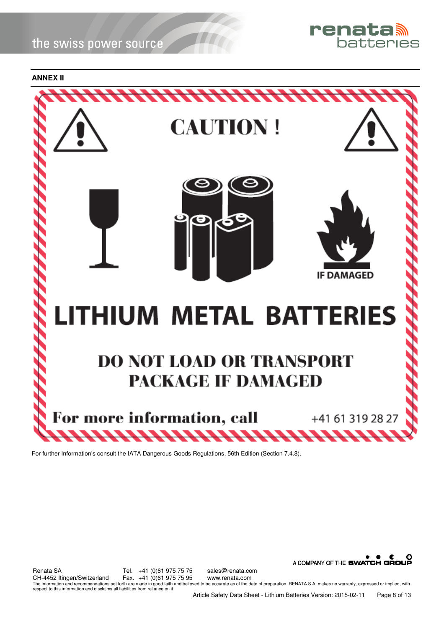

**ANNEX II** 



For further Information's consult the IATA Dangerous Goods Regulations, 56th Edition (Section 7.4.8).

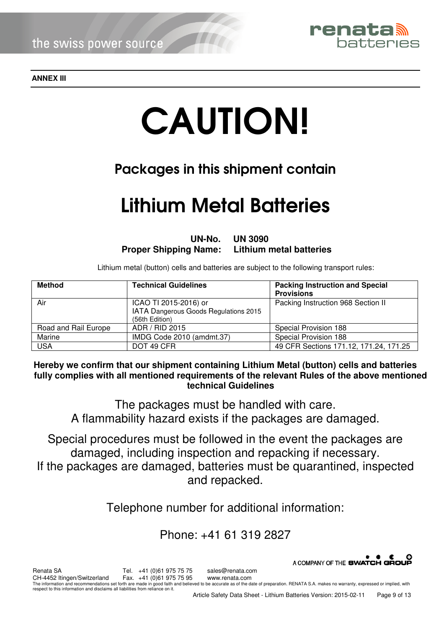

**ANNEX III** 

# CAUTION!

# Packages in this shipment contain

# Lithium Metal Batteries

**UN-No. UN 3090 Proper Shipping Name: Lithium metal batteries** 

Lithium metal (button) cells and batteries are subject to the following transport rules:

| <b>Method</b>        | <b>Technical Guidelines</b>                                                      | <b>Packing Instruction and Special</b><br><b>Provisions</b> |
|----------------------|----------------------------------------------------------------------------------|-------------------------------------------------------------|
| Air                  | ICAO TI 2015-2016) or<br>IATA Dangerous Goods Regulations 2015<br>(56th Edition) | Packing Instruction 968 Section II                          |
| Road and Rail Europe | ADR / RID 2015                                                                   | Special Provision 188                                       |
| Marine               | IMDG Code 2010 (amdmt.37)                                                        | Special Provision 188                                       |
| <b>USA</b>           | DOT 49 CFR                                                                       | 49 CFR Sections 171.12, 171.24, 171.25                      |

**Hereby we confirm that our shipment containing Lithium Metal (button) cells and batteries fully complies with all mentioned requirements of the relevant Rules of the above mentioned technical Guidelines** 

The packages must be handled with care. A flammability hazard exists if the packages are damaged.

Special procedures must be followed in the event the packages are damaged, including inspection and repacking if necessary. If the packages are damaged, batteries must be quarantined, inspected and repacked.

Telephone number for additional information:

# Phone: +41 61 319 2827

A COMPANY OF THE SWATCH GROUP Renata SA Tel. +41 (0)61 975 75 sales@renata.com<br>CH-4452 Itingen/Switzerland Fax. +41 (0)61 975 75 95 www.renata.com CH-4452 Itingen/Switzerland The information and recommendations set forth are made in good faith and believed to be accurate as of the date of preparation. RENATA S.A. makes no warranty, expressed or implied, with respect to this information and disclaims all liabilities from reliance on it.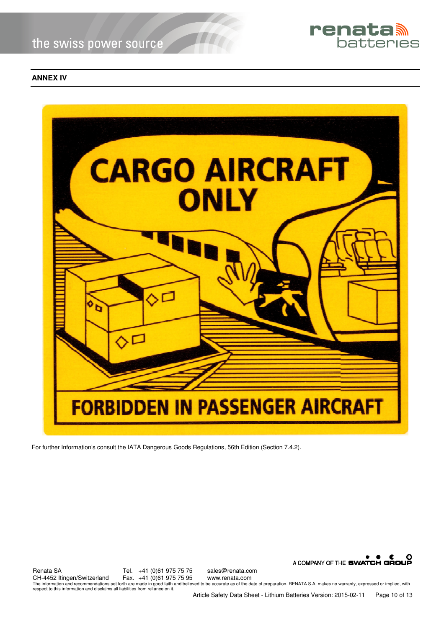

#### **ANNEX IV**



For further Information's consult the IATA Dangerous Goods Regulations, 56th Edition (Section 7.4.2).



Renata SA Tel. +41 (0)61 975 75 75 sales@renata.com CH-4452 Itingen/Switzerland The information and recommendations set forth are made in good faith and believed to be accurate as of the date of preparation. RENATA S.A. makes no warranty, expressed or implied, with respect to this information and disclaims all liabilities from reliance on it.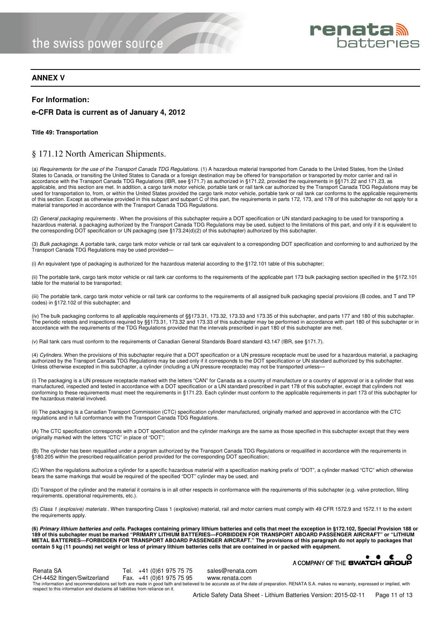

#### **ANNEX V**

#### **For Information:**

#### **e-CFR Data is current as of January 4, 2012**

#### **Title 49: Transportation**

#### § 171.12 North American Shipments.

(a) Requirements for the use of the Transport Canada TDG Regulations. (1) A hazardous material transported from Canada to the United States, from the United States to Canada, or transiting the United States to Canada or a foreign destination may be offered for transportation or transported by motor carrier and rail in accordance with the Transport Canada TDG Regulations (IBR, see §171.7) as authorized in §171.22, provided the requirements in §§171.22 and 171.23, as applicable, and this section are met. In addition, a cargo tank motor vehicle, portable tank or rail tank car authorized by the Transport Canada TDG Regulations may be used for transportation to, from, or within the United States provided the cargo tank motor vehicle, portable tank or rail tank car conforms to the applicable requirements of this section. Except as otherwise provided in this subpart and subpart C of this part, the requirements in parts 172, 173, and 178 of this subchapter do not apply for a material transported in accordance with the Transport Canada TDG Regulations.

(2) General packaging requirements . When the provisions of this subchapter require a DOT specification or UN standard packaging to be used for transporting a hazardous material, a packaging authorized by the Transport Canada TDG Regulations may be used, subject to the limitations of this part, and only if it is equivalent to the corresponding DOT specification or UN packaging (see §173.24(d)(2) of this subchapter) authorized by this subchapter.

(3) Bulk packagings. A portable tank, cargo tank motor vehicle or rail tank car equivalent to a corresponding DOT specification and conforming to and authorized by the Transport Canada TDG Regulations may be used provided—

(i) An equivalent type of packaging is authorized for the hazardous material according to the §172.101 table of this subchapter;

(ii) The portable tank, cargo tank motor vehicle or rail tank car conforms to the requirements of the applicable part 173 bulk packaging section specified in the §172.101 table for the material to be transported;

(iii) The portable tank, cargo tank motor vehicle or rail tank car conforms to the requirements of all assigned bulk packaging special provisions (B codes, and T and TP codes) in §172.102 of this subchapter; and

(iv) The bulk packaging conforms to all applicable requirements of §§173.31, 173.32, 173.33 and 173.35 of this subchapter, and parts 177 and 180 of this subchapter. The periodic retests and inspections required by §§173.31, 173.32 and 173.33 of this subchapter may be performed in accordance with part 180 of this subchapter or in accordance with the requirements of the TDG Regulations provided that the intervals prescribed in part 180 of this subchapter are met.

(v) Rail tank cars must conform to the requirements of Canadian General Standards Board standard 43.147 (IBR, see §171.7).

(4) Cylinders. When the provisions of this subchapter require that a DOT specification or a UN pressure receptacle must be used for a hazardous material, a packaging authorized by the Transport Canada TDG Regulations may be used only if it corresponds to the DOT specification or UN standard authorized by this subchapter. Unless otherwise excepted in this subchapter, a cylinder (including a UN pressure receptacle) may not be transported unless—

(i) The packaging is a UN pressure receptacle marked with the letters "CAN" for Canada as a country of manufacture or a country of approval or is a cylinder that was manufactured, inspected and tested in accordance with a DOT specification or a UN standard prescribed in part 178 of this subchapter, except that cylinders not conforming to these requirements must meet the requirements in §171.23. Each cylinder must conform to the applicable requirements in part 173 of this subchapter for the hazardous material involved.

(ii) The packaging is a Canadian Transport Commission (CTC) specification cylinder manufactured, originally marked and approved in accordance with the CTC regulations and in full conformance with the Transport Canada TDG Regulations.

(A) The CTC specification corresponds with a DOT specification and the cylinder markings are the same as those specified in this subchapter except that they were originally marked with the letters "CTC" in place of "DOT";

(B) The cylinder has been requalified under a program authorized by the Transport Canada TDG Regulations or requalified in accordance with the requirements in §180.205 within the prescribed requalification period provided for the corresponding DOT specification;

(C) When the regulations authorize a cylinder for a specific hazardous material with a specification marking prefix of "DOT", a cylinder marked "CTC" which otherwise bears the same markings that would be required of the specified "DOT" cylinder may be used; and

(D) Transport of the cylinder and the material it contains is in all other respects in conformance with the requirements of this subchapter (e.g. valve protection, filling requirements, operational requirements, etc.).

(5) Class 1 (explosive) materials . When transporting Class 1 (explosive) material, rail and motor carriers must comply with 49 CFR 1572.9 and 1572.11 to the extent the requirements apply.

**(6) Primary lithium batteries and cells. Packages containing primary lithium batteries and cells that meet the exception in §172.102, Special Provision 188 or 189 of this subchapter must be marked "PRIMARY LITHIUM BATTERIES—FORBIDDEN FOR TRANSPORT ABOARD PASSENGER AIRCRAFT" or "LITHIUM METAL BATTERIES—FORBIDDEN FOR TRANSPORT ABOARD PASSENGER AIRCRAFT." The provisions of this paragraph do not apply to packages that contain 5 kg (11 pounds) net weight or less of primary lithium batteries cells that are contained in or packed with equipment.** 

|                                                                                |  |                          |                  | $\bullet$ $\bullet$ $\bullet$<br>A COMPANY OF THE SWATCH GROUP                                                                                                                            | ം |
|--------------------------------------------------------------------------------|--|--------------------------|------------------|-------------------------------------------------------------------------------------------------------------------------------------------------------------------------------------------|---|
| Renata SA                                                                      |  | Tel. +41 (0)61 975 75 75 | sales@renata.com |                                                                                                                                                                                           |   |
| CH-4452 Itingen/Switzerland                                                    |  | Fax. +41 (0)61 975 75 95 | www.renata.com   |                                                                                                                                                                                           |   |
| respect to this information and disclaims all liabilities from reliance on it. |  |                          |                  | The information and recommendations set forth are made in good faith and believed to be accurate as of the date of preparation. RENATA S.A. makes no warranty, expressed or implied, with |   |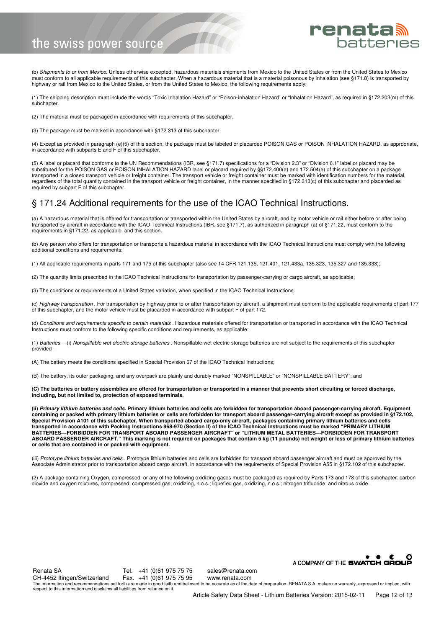

(b) Shipments to or from Mexico. Unless otherwise excepted, hazardous materials shipments from Mexico to the United States or from the United States to Mexico must conform to all applicable requirements of this subchapter. When a hazardous material that is a material poisonous by inhalation (see §171.8) is transported by highway or rail from Mexico to the United States, or from the United States to Mexico, the following requirements apply:

(1) The shipping description must include the words "Toxic Inhalation Hazard" or "Poison-Inhalation Hazard" or "Inhalation Hazard", as required in §172.203(m) of this subchapter.

(2) The material must be packaged in accordance with requirements of this subchapter.

(3) The package must be marked in accordance with §172.313 of this subchapter.

(4) Except as provided in paragraph (e)(5) of this section, the package must be labeled or placarded POISON GAS or POISON INHALATION HAZARD, as appropriate, in accordance with subparts E and F of this subchapter.

(5) A label or placard that conforms to the UN Recommendations (IBR, see §171.7) specifications for a "Division 2.3" or "Division 6.1" label or placard may be substituted for the POISON GAS or POISON INHALATION HAZARD label or placard required by §§172.400(a) and 172.504(e) of this subchapter on a package transported in a closed transport vehicle or freight container. The transport vehicle or freight container must be marked with identification numbers for the material, regardless of the total quantity contained in the transport vehicle or freight container, in the manner specified in §172.313(c) of this subchapter and placarded as required by subpart F of this subchapter.

#### § 171.24 Additional requirements for the use of the ICAO Technical Instructions.

(a) A hazardous material that is offered for transportation or transported within the United States by aircraft, and by motor vehicle or rail either before or after being transported by aircraft in accordance with the ICAO Technical Instructions (IBR, see §171.7), as authorized in paragraph (a) of §171.22, must conform to the requirements in §171.22, as applicable, and this section.

(b) Any person who offers for transportation or transports a hazardous material in accordance with the ICAO Technical Instructions must comply with the following additional conditions and requirements:

(1) All applicable requirements in parts 171 and 175 of this subchapter (also see 14 CFR 121.135, 121.401, 121.433a, 135.323, 135.327 and 135.333);

(2) The quantity limits prescribed in the ICAO Technical Instructions for transportation by passenger-carrying or cargo aircraft, as applicable;

(3) The conditions or requirements of a United States variation, when specified in the ICAO Technical Instructions.

(c) Highway transportation . For transportation by highway prior to or after transportation by aircraft, a shipment must conform to the applicable requirements of part 177 of this subchapter, and the motor vehicle must be placarded in accordance with subpart F of part 172.

(d) *Conditions and requirements specific to certain materials* . Hazardous materials offered for transportation or transported in accordance with the ICAO Technical<br>Instructions must conform to the following specific cond

(1) Batteries -(i) Nonspillable wet electric storage batteries . Nonspillable wet electric storage batteries are not subject to the requirements of this subchapter provided—

(A) The battery meets the conditions specified in Special Provision 67 of the ICAO Technical Instructions;

(B) The battery, its outer packaging, and any overpack are plainly and durably marked "NONSPILLABLE" or "NONSPILLABLE BATTERY"; and

**(C) The batteries or battery assemblies are offered for transportation or transported in a manner that prevents short circuiting or forced discharge, including, but not limited to, protection of exposed terminals.** 

**(ii) Primary lithium batteries and cells. Primary lithium batteries and cells are forbidden for transportation aboard passenger-carrying aircraft. Equipment containing or packed with primary lithium batteries or cells are forbidden for transport aboard passenger-carrying aircraft except as provided in §172.102, Special Provision A101 of this subchapter. When transported aboard cargo-only aircraft, packages containing primary lithium batteries and cells transported in accordance with Packing Instructions 968-970 (Section II) of the ICAO Technical Instructions must be marked "PRIMARY LITHIUM BATTERIES—FORBIDDEN FOR TRANSPORT ABOARD PASSENGER AIRCRAFT" or "LITHIUM METAL BATTERIES—FORBIDDEN FOR TRANSPORT ABOARD PASSENGER AIRCRAFT." This marking is not required on packages that contain 5 kg (11 pounds) net weight or less of primary lithium batteries or cells that are contained in or packed with equipment.** 

(iii) Prototype lithium batteries and cells . Prototype lithium batteries and cells are forbidden for transport aboard passenger aircraft and must be approved by the Associate Administrator prior to transportation aboard cargo aircraft, in accordance with the requirements of Special Provision A55 in §172.102 of this subchapter.

(2) A package containing Oxygen, compressed, or any of the following oxidizing gases must be packaged as required by Parts 173 and 178 of this subchapter: carbon dioxide and oxygen mixtures, compressed; compressed gas, oxidizing, n.o.s.; liquefied gas, oxidizing, n.o.s.; nitrogen trifluoride; and nitrous oxide.